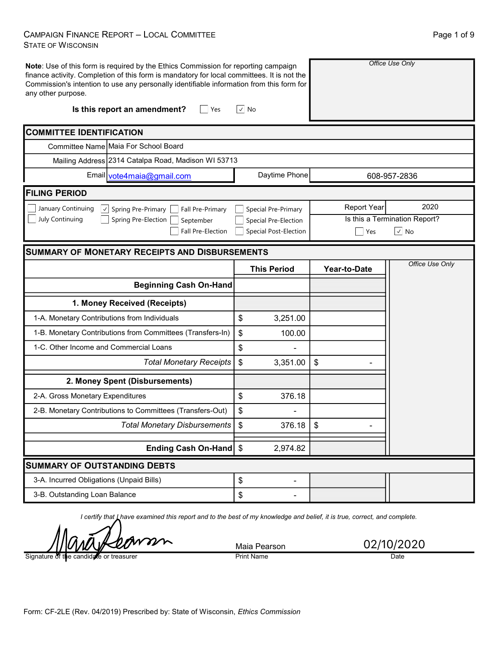### **CAMPAIGN FINANCE REPORT - LOCAL COMMITTEE STATE OF WISCONSIN**

| Note: Use of this form is required by the Ethics Commission for reporting campaign<br>finance activity. Completion of this form is mandatory for local committees. It is not the<br>Commission's intention to use any personally identifiable information from this form for<br>any other purpose.<br>Is this report an amendment?<br>Yes | √   No                |                    | Office Use Only               |
|-------------------------------------------------------------------------------------------------------------------------------------------------------------------------------------------------------------------------------------------------------------------------------------------------------------------------------------------|-----------------------|--------------------|-------------------------------|
| <b>COMMITTEE IDENTIFICATION</b>                                                                                                                                                                                                                                                                                                           |                       |                    |                               |
| Committee Name Maia For School Board                                                                                                                                                                                                                                                                                                      |                       |                    |                               |
| Mailing Address 2314 Catalpa Road, Madison WI 53713                                                                                                                                                                                                                                                                                       |                       |                    |                               |
| Email vote4maia@gmail.com                                                                                                                                                                                                                                                                                                                 | Daytime Phone         |                    | 608-957-2836                  |
| <b>FILING PERIOD</b>                                                                                                                                                                                                                                                                                                                      |                       |                    |                               |
| January Continuing<br>Spring Pre-Primary<br>$\vert \downarrow \vert$<br>Fall Pre-Primary                                                                                                                                                                                                                                                  | Special Pre-Primary   | <b>Report Year</b> | 2020                          |
| July Continuing<br>Spring Pre-Election<br>September                                                                                                                                                                                                                                                                                       | Special Pre-Election  |                    | Is this a Termination Report? |
| Fall Pre-Election                                                                                                                                                                                                                                                                                                                         | Special Post-Election | Yes                | $\vee$ No                     |
| <b>SUMMARY OF MONETARY RECEIPTS AND DISBURSEMENTS</b>                                                                                                                                                                                                                                                                                     |                       |                    |                               |
|                                                                                                                                                                                                                                                                                                                                           | <b>This Period</b>    | Year-to-Date       | Office Use Only               |
| <b>Beginning Cash On-Hand</b>                                                                                                                                                                                                                                                                                                             |                       |                    |                               |
| 1. Money Received (Receipts)                                                                                                                                                                                                                                                                                                              |                       |                    |                               |
| 1-A. Monetary Contributions from Individuals                                                                                                                                                                                                                                                                                              | \$<br>3,251.00        |                    |                               |
| 1-B. Monetary Contributions from Committees (Transfers-In)                                                                                                                                                                                                                                                                                | \$<br>100.00          |                    |                               |
| 1-C. Other Income and Commercial Loans                                                                                                                                                                                                                                                                                                    | \$                    |                    |                               |
| <b>Total Monetary Receipts</b>                                                                                                                                                                                                                                                                                                            | \$<br>3,351.00        | \$                 |                               |
| 2. Money Spent (Disbursements)                                                                                                                                                                                                                                                                                                            |                       |                    |                               |
| 2-A. Gross Monetary Expenditures                                                                                                                                                                                                                                                                                                          | \$<br>376.18          |                    |                               |
| 2-B. Monetary Contributions to Committees (Transfers-Out)                                                                                                                                                                                                                                                                                 | \$                    |                    |                               |
| <b>Total Monetary Disbursements</b>                                                                                                                                                                                                                                                                                                       | \$<br>376.18          | \$                 |                               |
|                                                                                                                                                                                                                                                                                                                                           |                       |                    |                               |
| Ending Cash On-Hand \$                                                                                                                                                                                                                                                                                                                    | 2,974.82              |                    |                               |
| <b>SUMMARY OF OUTSTANDING DEBTS</b>                                                                                                                                                                                                                                                                                                       |                       |                    |                               |
| 3-A. Incurred Obligations (Unpaid Bills)                                                                                                                                                                                                                                                                                                  | \$                    |                    |                               |

I certify that Lhave examined this report and to the best of my knowledge and belief, it is true, correct, and complete.

TV

Signature of the e candidate or treasurer Maia Pearson **Print Name** 

02/10/2020 Date

Page 1 of 9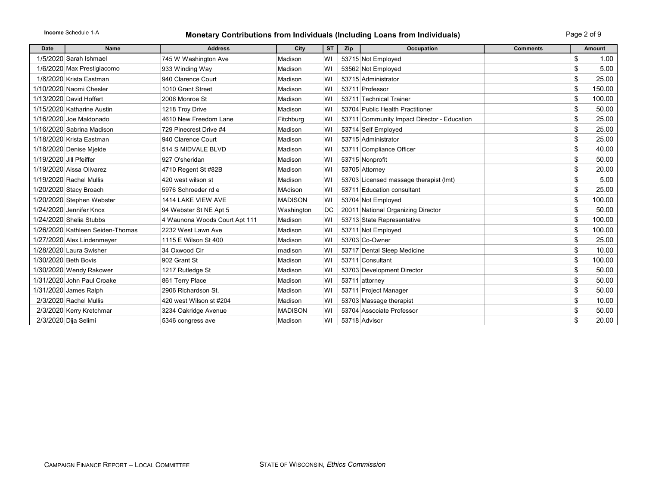## Income Schedule 1-A **Monetary Contributions from Individuals (Including Loans from Individuals)** Page 2 of 9

| <b>Date</b>             | Name                             | <b>Address</b>                | City           | <b>ST</b> | Zip | Occupation                                  | <b>Comments</b> | <b>Amount</b> |
|-------------------------|----------------------------------|-------------------------------|----------------|-----------|-----|---------------------------------------------|-----------------|---------------|
|                         | 1/5/2020 Sarah Ishmael           | 745 W Washington Ave          | Madison        | WI        |     | 53715 Not Employed                          |                 | \$<br>1.00    |
|                         | 1/6/2020 Max Prestigiacomo       | 933 Winding Way               | Madison        | WI        |     | 53562 Not Employed                          |                 | \$<br>5.00    |
|                         | 1/8/2020 Krista Eastman          | 940 Clarence Court            | Madison        | WI        |     | 53715 Administrator                         |                 | \$<br>25.00   |
|                         | 1/10/2020 Naomi Chesler          | 1010 Grant Street             | Madison        | WI        |     | 53711 Professor                             |                 | \$<br>150.00  |
|                         | 1/13/2020 David Hoffert          | 2006 Monroe St                | Madison        | WI        |     | 53711 Technical Trainer                     |                 | \$<br>100.00  |
|                         | 1/15/2020 Katharine Austin       | 1218 Troy Drive               | Madison        | WI        |     | 53704 Public Health Practitioner            |                 | \$<br>50.00   |
|                         | 1/16/2020 Joe Maldonado          | 4610 New Freedom Lane         | Fitchburg      | WI        |     | 53711 Community Impact Director - Education |                 | \$<br>25.00   |
|                         | 1/16/2020 Sabrina Madison        | 729 Pinecrest Drive #4        | Madison        | WI        |     | 53714 Self Employed                         |                 | \$<br>25.00   |
|                         | 1/18/2020 Krista Eastman         | 940 Clarence Court            | Madison        | WI        |     | 53715 Administrator                         |                 | \$<br>25.00   |
|                         | 1/18/2020 Denise Mielde          | 514 S MIDVALE BLVD            | Madison        | WI        |     | 53711 Compliance Officer                    |                 | \$<br>40.00   |
| 1/19/2020 Jill Pfeiffer |                                  | 927 O'sheridan                | Madison        | WI        |     | 53715 Nonprofit                             |                 | \$<br>50.00   |
|                         | 1/19/2020 Aissa Olivarez         | 4710 Regent St #82B           | Madison        | WI        |     | 53705 Attorney                              |                 | \$<br>20.00   |
|                         | 1/19/2020 Rachel Mullis          | 420 west wilson st            | Madison        | WI        |     | 53703 Licensed massage therapist (lmt)      |                 | \$<br>5.00    |
|                         | 1/20/2020 Stacy Broach           | 5976 Schroeder rd e           | MAdison        | WI        |     | 53711 Education consultant                  |                 | \$<br>25.00   |
|                         | 1/20/2020 Stephen Webster        | 1414 LAKE VIEW AVE            | <b>MADISON</b> | WI        |     | 53704 Not Employed                          |                 | \$<br>100.00  |
|                         | 1/24/2020 Jennifer Knox          | 94 Webster St NE Apt 5        | Washington     | DC        |     | 20011 National Organizing Director          |                 | \$<br>50.00   |
|                         | 1/24/2020 Shelia Stubbs          | 4 Waunona Woods Court Apt 111 | Madison        | WI        |     | 53713 State Representative                  |                 | \$<br>100.00  |
|                         | 1/26/2020 Kathleen Seiden-Thomas | 2232 West Lawn Ave            | Madison        | WI        |     | 53711 Not Employed                          |                 | \$<br>100.00  |
|                         | 1/27/2020 Alex Lindenmeyer       | 1115 E Wilson St 400          | Madison        | WI        |     | 53703 Co-Owner                              |                 | \$<br>25.00   |
|                         | 1/28/2020 Laura Swisher          | 34 Oxwood Cir                 | madison        | WI        |     | 53717 Dental Sleep Medicine                 |                 | \$<br>10.00   |
|                         | 1/30/2020 Beth Bovis             | 902 Grant St                  | Madison        | WI        |     | 53711 Consultant                            |                 | \$<br>100.00  |
|                         | 1/30/2020 Wendy Rakower          | 1217 Rutledge St              | Madison        | WI        |     | 53703 Development Director                  |                 | \$<br>50.00   |
|                         | 1/31/2020 John Paul Croake       | 861 Terry Place               | Madison        | WI        |     | 53711 attorney                              |                 | \$<br>50.00   |
|                         | 1/31/2020 James Ralph            | 2906 Richardson St.           | Madison        | WI        |     | 53711 Project Manager                       |                 | \$<br>50.00   |
|                         | 2/3/2020 Rachel Mullis           | 420 west Wilson st #204       | Madison        | WI        |     | 53703 Massage therapist                     |                 | \$<br>10.00   |
|                         | 2/3/2020 Kerry Kretchmar         | 3234 Oakridge Avenue          | <b>MADISON</b> | WI        |     | 53704 Associate Professor                   |                 | \$<br>50.00   |
|                         | 2/3/2020 Dija Selimi             | 5346 congress ave             | Madison        | WI        |     | 53718 Advisor                               |                 | \$<br>20.00   |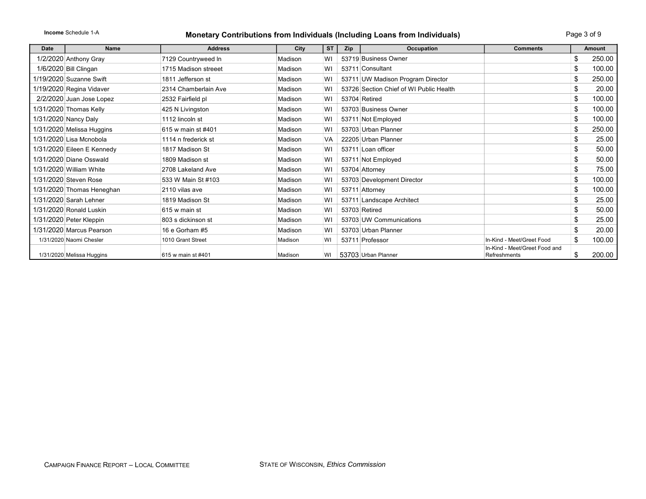Income Schedule 1-A

#### Monetary Contributions from Individuals (Including Loans from Individuals)

| Date | <b>Name</b>                | <b>Address</b>       | City    | <b>ST</b> | <b>Zip</b> | <b>Occupation</b>                       | <b>Comments</b>                               | <b>Amount</b> |
|------|----------------------------|----------------------|---------|-----------|------------|-----------------------------------------|-----------------------------------------------|---------------|
|      | 1/2/2020 Anthony Gray      | 7129 Countryweed In  | Madison | W١        |            | 53719 Business Owner                    |                                               | \$<br>250.00  |
|      | 1/6/2020 Bill Clingan      | 1715 Madison streeet | Madison | WI        |            | 53711 Consultant                        |                                               | \$<br>100.00  |
|      | 1/19/2020 Suzanne Swift    | 1811 Jefferson st    | Madison | WI        |            | 53711 UW Madison Program Director       |                                               | \$<br>250.00  |
|      | 1/19/2020 Regina Vidaver   | 2314 Chamberlain Ave | Madison | WI        |            | 53726 Section Chief of WI Public Health |                                               | \$<br>20.00   |
|      | 2/2/2020 Juan Jose Lopez   | 2532 Fairfield pl    | Madison | WI        |            | 53704 Retired                           |                                               | \$<br>100.00  |
|      | 1/31/2020 Thomas Kelly     | 425 N Livingston     | Madison | WI        |            | 53703 Business Owner                    |                                               | \$<br>100.00  |
|      | 1/31/2020 Nancy Daly       | 1112 lincoln st      | Madison | WI        |            | 53711 Not Employed                      |                                               | \$<br>100.00  |
|      | 1/31/2020 Melissa Huggins  | 615 w main st #401   | Madison | WI        |            | 53703 Urban Planner                     |                                               | \$<br>250.00  |
|      | 1/31/2020 Lisa Mcnobola    | 1114 n frederick st  | Madison | VA        |            | 22205 Urban Planner                     |                                               | \$<br>25.00   |
|      | 1/31/2020 Eileen E Kennedy | 1817 Madison St      | Madison | WI        |            | 53711 Loan officer                      |                                               | \$<br>50.00   |
|      | 1/31/2020 Diane Osswald    | 1809 Madison st      | Madison | WI        |            | 53711 Not Employed                      |                                               | \$<br>50.00   |
|      | 1/31/2020 William White    | 2708 Lakeland Ave    | Madison | WI        |            | 53704 Attorney                          |                                               | \$<br>75.00   |
|      | 1/31/2020 Steven Rose      | 533 W Main St #103   | Madison | WI        |            | 53703 Development Director              |                                               | \$<br>100.00  |
|      | 1/31/2020 Thomas Heneghan  | 2110 vilas ave       | Madison | WI        |            | 53711 Attorney                          |                                               | \$<br>100.00  |
|      | 1/31/2020 Sarah Lehner     | 1819 Madison St      | Madison | WI        |            | 53711 Landscape Architect               |                                               | \$<br>25.00   |
|      | 1/31/2020 Ronald Luskin    | 615 w main st        | Madison | WI        |            | 53703 Retired                           |                                               | \$<br>50.00   |
|      | 1/31/2020 Peter Kleppin    | 803 s dickinson st   | Madison | WI        |            | 53703 UW Communications                 |                                               | \$<br>25.00   |
|      | 1/31/2020 Marcus Pearson   | 16 e Gorham #5       | Madison | WI        |            | 53703 Urban Planner                     |                                               | \$<br>20.00   |
|      | 1/31/2020 Naomi Chesler    | 1010 Grant Street    | Madison | WI        |            | 53711 Professor                         | In-Kind - Meet/Greet Food                     | \$<br>100.00  |
|      | 1/31/2020 Melissa Huggins  | 615 w main st #401   | Madison | WI        |            | 53703 Urban Planner                     | In-Kind - Meet/Greet Food and<br>Refreshments | \$<br>200.00  |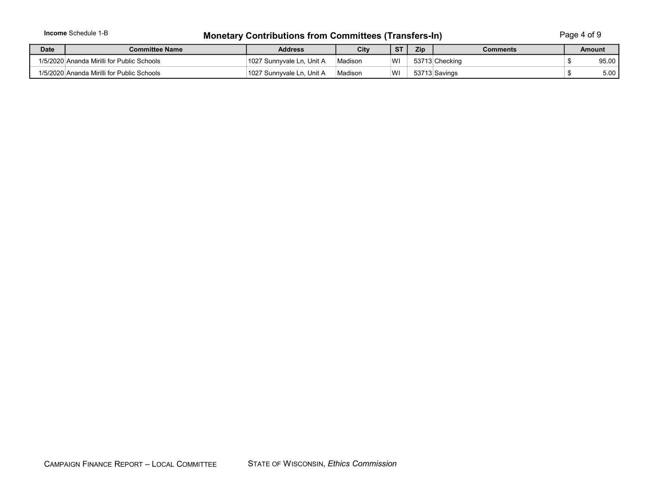|             | <b>Income</b> Schedule 1-B<br><b>Monetary Contributions from Committees (Transfers-In)</b> |                           |         |           |     |                |  | Page 4 of 9   |  |
|-------------|--------------------------------------------------------------------------------------------|---------------------------|---------|-----------|-----|----------------|--|---------------|--|
| <b>Date</b> | Committee Name                                                                             | <b>Address</b>            | City    | <b>ST</b> | Zip | Comments       |  | <b>Amount</b> |  |
|             | 1/5/2020 Ananda Mirilli for Public Schools                                                 | 1027 Sunnyvale Ln, Unit A | Madison | WI        |     | 53713 Checking |  | 95.00         |  |
|             | 1/5/2020 Ananda Mirilli for Public Schools                                                 | 1027 Sunnvvale Ln. Unit A | Madison | WI        |     | 53713 Savings  |  | 5.00          |  |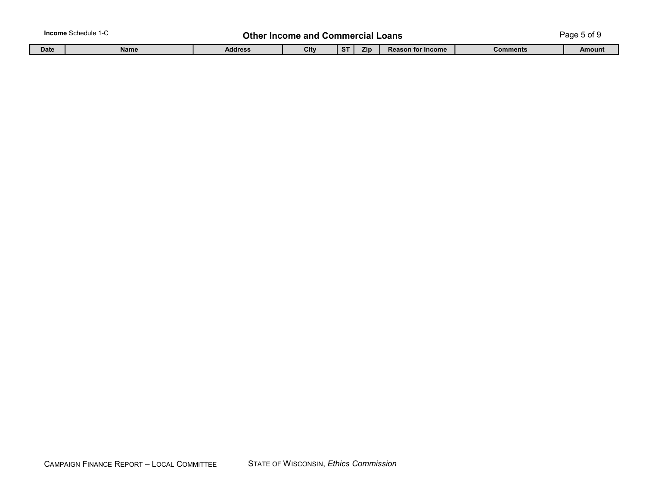|             | <b>Income</b> Schedule 1-C | Other Income and |      |           | Commercial | Loans                    |          | Page 5 of $\epsilon$ |
|-------------|----------------------------|------------------|------|-----------|------------|--------------------------|----------|----------------------|
| <b>Date</b> | Name                       | <b>Address</b>   | City | <b>ST</b> | Zip        | <b>Reason for Income</b> | Comments | Amount               |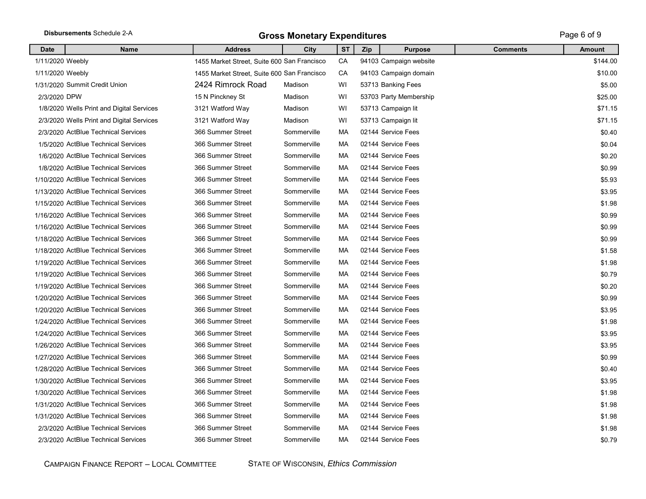|                  | Disbursements Schedule 2-A                | <b>Gross Monetary Expenditures</b>          | Page 6 of 9 |           |     |                        |                 |               |
|------------------|-------------------------------------------|---------------------------------------------|-------------|-----------|-----|------------------------|-----------------|---------------|
| <b>Date</b>      | <b>Name</b>                               | <b>Address</b>                              | City        | <b>ST</b> | Zip | <b>Purpose</b>         | <b>Comments</b> | <b>Amount</b> |
| 1/11/2020 Weebly |                                           | 1455 Market Street, Suite 600 San Francisco |             | CA        |     | 94103 Campaign website |                 | \$144.00      |
| 1/11/2020 Weebly |                                           | 1455 Market Street, Suite 600 San Francisco |             | CA        |     | 94103 Campaign domain  |                 | \$10.00       |
|                  | 1/31/2020 Summit Credit Union             | 2424 Rimrock Road                           | Madison     | WI        |     | 53713 Banking Fees     |                 | \$5.00        |
| 2/3/2020 DPW     |                                           | 15 N Pinckney St                            | Madison     | WI        |     | 53703 Party Membership |                 | \$25.00       |
|                  | 1/8/2020 Wells Print and Digital Services | 3121 Watford Way                            | Madison     | WI        |     | 53713 Campaign lit     |                 | \$71.15       |
|                  | 2/3/2020 Wells Print and Digital Services | 3121 Watford Way                            | Madison     | WI        |     | 53713 Campaign lit     |                 | \$71.15       |
|                  | 2/3/2020 ActBlue Technical Services       | 366 Summer Street                           | Sommerville | МA        |     | 02144 Service Fees     |                 | \$0.40        |
|                  | 1/5/2020 ActBlue Technical Services       | 366 Summer Street                           | Sommerville | МA        |     | 02144 Service Fees     |                 | \$0.04        |
|                  | 1/6/2020 ActBlue Technical Services       | 366 Summer Street                           | Sommerville | МA        |     | 02144 Service Fees     |                 | \$0.20        |
|                  | 1/8/2020 ActBlue Technical Services       | 366 Summer Street                           | Sommerville | МA        |     | 02144 Service Fees     |                 | \$0.99        |
|                  | 1/10/2020 ActBlue Technical Services      | 366 Summer Street                           | Sommerville | МA        |     | 02144 Service Fees     |                 | \$5.93        |
|                  | 1/13/2020 ActBlue Technical Services      | 366 Summer Street                           | Sommerville | МA        |     | 02144 Service Fees     |                 | \$3.95        |
|                  | 1/15/2020 ActBlue Technical Services      | 366 Summer Street                           | Sommerville | МA        |     | 02144 Service Fees     |                 | \$1.98        |
|                  | 1/16/2020 ActBlue Technical Services      | 366 Summer Street                           | Sommerville | МA        |     | 02144 Service Fees     |                 | \$0.99        |
|                  | 1/16/2020 ActBlue Technical Services      | 366 Summer Street                           | Sommerville | МA        |     | 02144 Service Fees     |                 | \$0.99        |
|                  | 1/18/2020 ActBlue Technical Services      | 366 Summer Street                           | Sommerville | МA        |     | 02144 Service Fees     |                 | \$0.99        |
|                  | 1/18/2020 ActBlue Technical Services      | 366 Summer Street                           | Sommerville | МA        |     | 02144 Service Fees     |                 | \$1.58        |
|                  | 1/19/2020 ActBlue Technical Services      | 366 Summer Street                           | Sommerville | МA        |     | 02144 Service Fees     |                 | \$1.98        |
|                  | 1/19/2020 ActBlue Technical Services      | 366 Summer Street                           | Sommerville | МA        |     | 02144 Service Fees     |                 | \$0.79        |
|                  | 1/19/2020 ActBlue Technical Services      | 366 Summer Street                           | Sommerville | МA        |     | 02144 Service Fees     |                 | \$0.20        |
|                  | 1/20/2020 ActBlue Technical Services      | 366 Summer Street                           | Sommerville | МA        |     | 02144 Service Fees     |                 | \$0.99        |
|                  | 1/20/2020 ActBlue Technical Services      | 366 Summer Street                           | Sommerville | MA        |     | 02144 Service Fees     |                 | \$3.95        |
|                  | 1/24/2020 ActBlue Technical Services      | 366 Summer Street                           | Sommerville | МA        |     | 02144 Service Fees     |                 | \$1.98        |
|                  | 1/24/2020 ActBlue Technical Services      | 366 Summer Street                           | Sommerville | МA        |     | 02144 Service Fees     |                 | \$3.95        |
|                  | 1/26/2020 ActBlue Technical Services      | 366 Summer Street                           | Sommerville | МA        |     | 02144 Service Fees     |                 | \$3.95        |
|                  | 1/27/2020 ActBlue Technical Services      | 366 Summer Street                           | Sommerville | МA        |     | 02144 Service Fees     |                 | \$0.99        |
|                  | 1/28/2020 ActBlue Technical Services      | 366 Summer Street                           | Sommerville | МA        |     | 02144 Service Fees     |                 | \$0.40        |
|                  | 1/30/2020 ActBlue Technical Services      | 366 Summer Street                           | Sommerville | МA        |     | 02144 Service Fees     |                 | \$3.95        |
|                  | 1/30/2020 ActBlue Technical Services      | 366 Summer Street                           | Sommerville | МA        |     | 02144 Service Fees     |                 | \$1.98        |
|                  | 1/31/2020 ActBlue Technical Services      | 366 Summer Street                           | Sommerville | MA        |     | 02144 Service Fees     |                 | \$1.98        |
|                  | 1/31/2020 ActBlue Technical Services      | 366 Summer Street                           | Sommerville | МA        |     | 02144 Service Fees     |                 | \$1.98        |
|                  | 2/3/2020 ActBlue Technical Services       | 366 Summer Street                           | Sommerville | MA        |     | 02144 Service Fees     |                 | \$1.98        |
|                  | 2/3/2020 ActBlue Technical Services       | 366 Summer Street                           | Sommerville | MA        |     | 02144 Service Fees     |                 | \$0.79        |

CAMPAIGN FINANCE REPORT - LOCAL COMMITTEE STATE OF WISCONSIN, *Ethics Commission*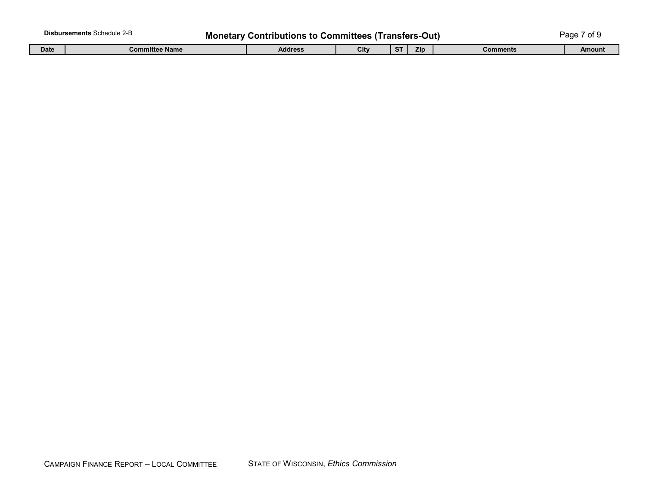|             | <b>Disbursements Schedule 2-B</b><br><b>Monetary Contributions to Committees (Transfers-Out)</b> |         |      |                        |            |                 | aae<br>$-+$<br>ΩI |
|-------------|--------------------------------------------------------------------------------------------------|---------|------|------------------------|------------|-----------------|-------------------|
| <b>Date</b> | <b>Committee Name</b>                                                                            | Address | City | $\sim$<br>$\mathbf{a}$ | <b>Zip</b> | <b>Comments</b> | Amount            |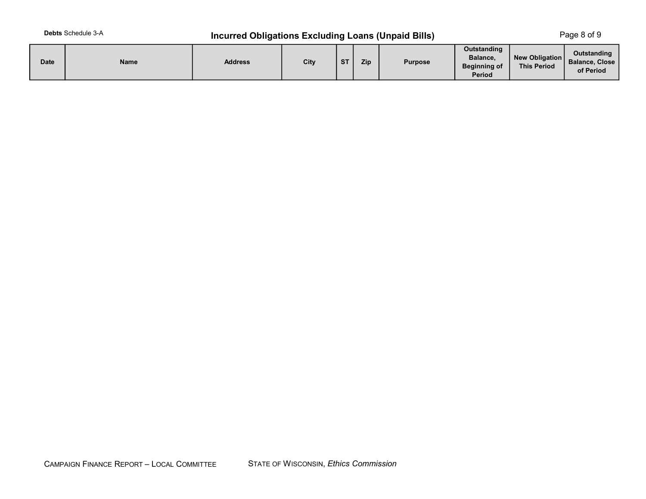## **Incurred Obligations Excluding Loans (Unpaid Bills)**

Page 8 of 9

| <b>Date</b> | Name | <b>Address</b> | City | <b>ST</b> | Zip | <b>Purpose</b> | Outstanding<br>Balance,<br><b>Beginning of</b><br>Period | New Obligation<br><b>This Period</b> | Outstanding<br><b>Balance, Close</b><br>of Period |
|-------------|------|----------------|------|-----------|-----|----------------|----------------------------------------------------------|--------------------------------------|---------------------------------------------------|
|-------------|------|----------------|------|-----------|-----|----------------|----------------------------------------------------------|--------------------------------------|---------------------------------------------------|